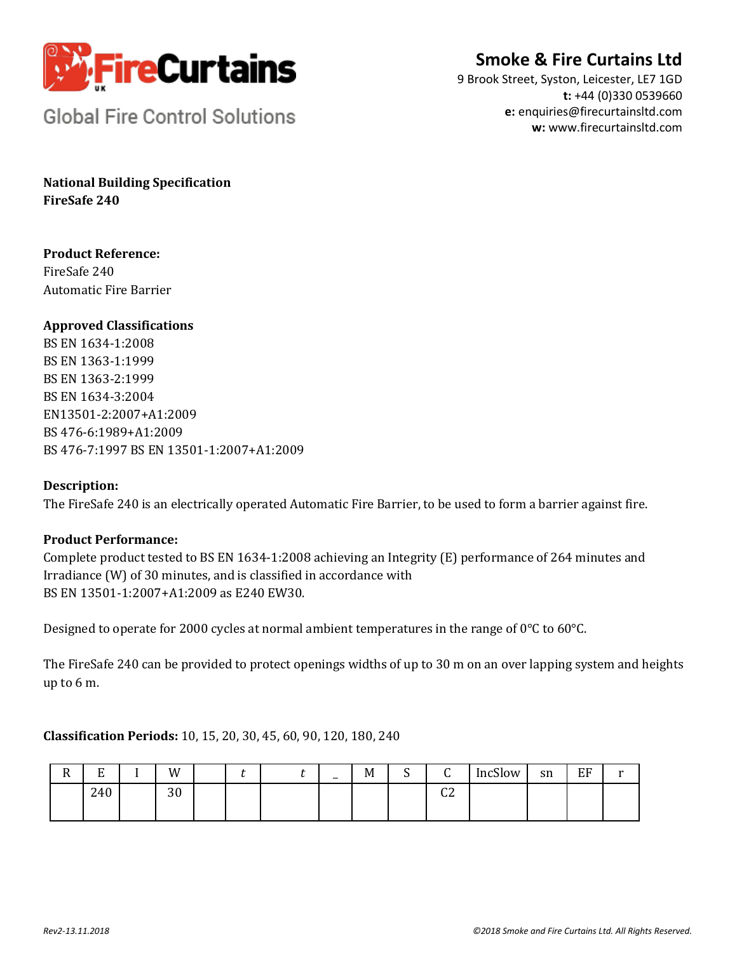

# **Smoke & Fire Curtains Ltd**

9 Brook Street, Syston, Leicester, LE7 1GD **t:** +44 (0)330 0539660 **e:** enquiries@firecurtainsltd.com **w:** [www.firecurtainsltd.com](http://www.firecurtainsltd.com/)

**Global Fire Control Solutions** 

**National Building Specification FireSafe 240**

**Product Reference:** FireSafe 240 Automatic Fire Barrier

### **Approved Classifications**

BS EN 1634-1:2008 BS EN 1363-1:1999 BS EN 1363-2:1999 BS EN 1634-3:2004 EN13501-2:2007+A1:2009 BS 476-6:1989+A1:2009 BS 476-7:1997 BS EN 13501-1:2007+A1:2009

### **Description:**

The FireSafe 240 is an electrically operated Automatic Fire Barrier, to be used to form a barrier against fire.

### **Product Performance:**

Complete product tested to BS EN 1634-1:2008 achieving an Integrity (E) performance of 264 minutes and Irradiance (W) of 30 minutes, and is classified in accordance with BS EN 13501-1:2007+A1:2009 as E240 EW30.

Designed to operate for 2000 cycles at normal ambient temperatures in the range of 0°C to 60°C.

The FireSafe 240 can be provided to protect openings widths of up to 30 m on an over lapping system and heights up to 6 m.

### **Classification Periods:** 10, 15, 20, 30, 45, 60, 90, 120, 180, 240

| -<br>17 | $\blacksquare$<br>ப | W              |  | $\overline{\phantom{0}}$ | M | $\sqrt{2}$<br>٠, | ⌒<br>ີ            | $\sim$ $\sim$ $\sim$ $\sim$<br>IncSlow | sn | FF<br>ப |  |
|---------|---------------------|----------------|--|--------------------------|---|------------------|-------------------|----------------------------------------|----|---------|--|
|         | 240                 | $\Omega$<br>υc |  |                          |   |                  | $\sim$<br>ີ<br>__ |                                        |    |         |  |
|         |                     |                |  |                          |   |                  |                   |                                        |    |         |  |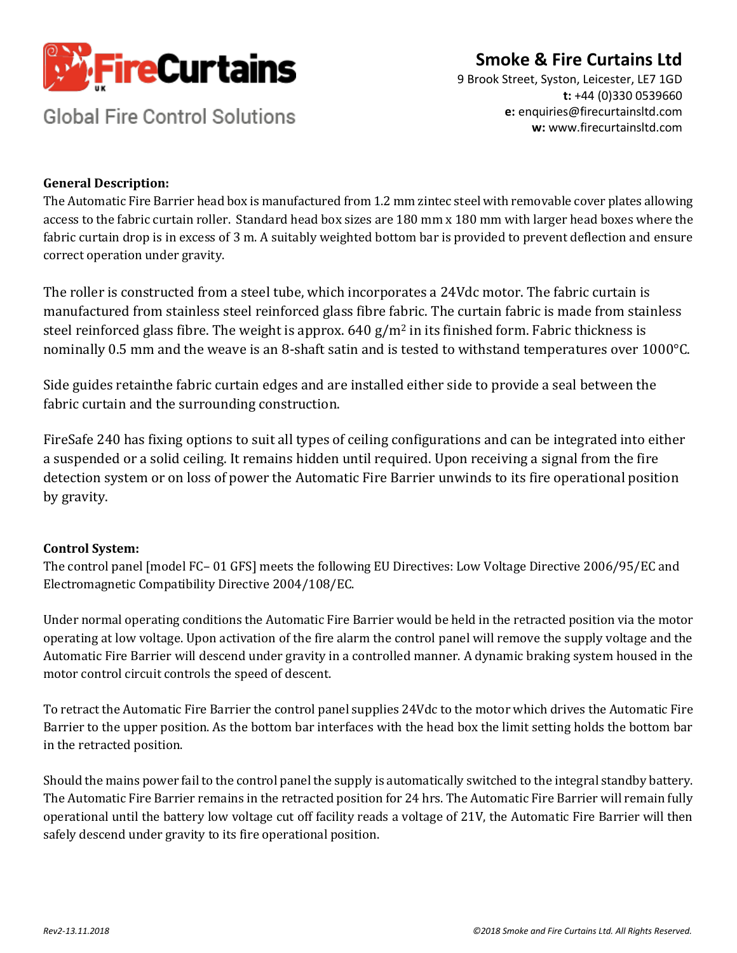

# **Smoke & Fire Curtains Ltd**

**Global Fire Control Solutions** 

9 Brook Street, Syston, Leicester, LE7 1GD **t:** +44 (0)330 0539660 **e:** enquiries@firecurtainsltd.com **w:** [www.firecurtainsltd.com](http://www.firecurtainsltd.com/)

### **General Description:**

The Automatic Fire Barrier head box is manufactured from 1.2 mm zintec steel with removable cover plates allowing access to the fabric curtain roller. Standard head box sizes are 180 mm x 180 mm with larger head boxes where the fabric curtain drop is in excess of 3 m. A suitably weighted bottom bar is provided to prevent deflection and ensure correct operation under gravity.

The roller is constructed from a steel tube, which incorporates a 24Vdc motor. The fabric curtain is manufactured from stainless steel reinforced glass fibre fabric. The curtain fabric is made from stainless steel reinforced glass fibre. The weight is approx.  $640$  g/m<sup>2</sup> in its finished form. Fabric thickness is nominally 0.5 mm and the weave is an 8-shaft satin and is tested to withstand temperatures over 1000°C.

Side guides retainthe fabric curtain edges and are installed either side to provide a seal between the fabric curtain and the surrounding construction.

FireSafe 240 has fixing options to suit all types of ceiling configurations and can be integrated into either a suspended or a solid ceiling. It remains hidden until required. Upon receiving a signal from the fire detection system or on loss of power the Automatic Fire Barrier unwinds to its fire operational position by gravity.

## **Control System:**

The control panel [model FC– 01 GFS] meets the following EU Directives: Low Voltage Directive 2006/95/EC and Electromagnetic Compatibility Directive 2004/108/EC.

Under normal operating conditions the Automatic Fire Barrier would be held in the retracted position via the motor operating at low voltage. Upon activation of the fire alarm the control panel will remove the supply voltage and the Automatic Fire Barrier will descend under gravity in a controlled manner. A dynamic braking system housed in the motor control circuit controls the speed of descent.

To retract the Automatic Fire Barrier the control panel supplies 24Vdc to the motor which drives the Automatic Fire Barrier to the upper position. As the bottom bar interfaces with the head box the limit setting holds the bottom bar in the retracted position.

Should the mains power fail to the control panel the supply is automatically switched to the integral standby battery. The Automatic Fire Barrier remains in the retracted position for 24 hrs. The Automatic Fire Barrier will remain fully operational until the battery low voltage cut off facility reads a voltage of 21V, the Automatic Fire Barrier will then safely descend under gravity to its fire operational position.